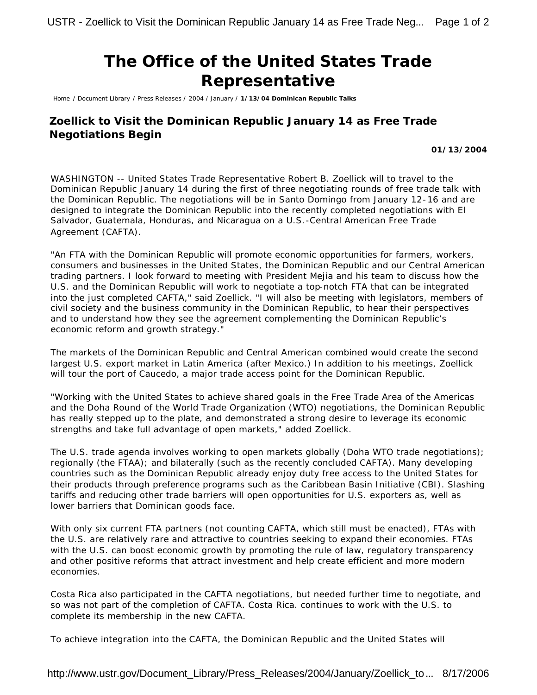## **The Office of the United States Trade Representative**

Home / Document Library / Press Releases / 2004 / January / **1/13/04 Dominican Republic Talks**

## **Zoellick to Visit the Dominican Republic January 14 as Free Trade Negotiations Begin**

## **01/13/2004**

WASHINGTON -- United States Trade Representative Robert B. Zoellick will to travel to the Dominican Republic January 14 during the first of three negotiating rounds of free trade talk with the Dominican Republic. The negotiations will be in Santo Domingo from January 12-16 and are designed to integrate the Dominican Republic into the recently completed negotiations with El Salvador, Guatemala, Honduras, and Nicaragua on a U.S.-Central American Free Trade Agreement (CAFTA).

"An FTA with the Dominican Republic will promote economic opportunities for farmers, workers, consumers and businesses in the United States, the Dominican Republic and our Central American trading partners. I look forward to meeting with President Mejia and his team to discuss how the U.S. and the Dominican Republic will work to negotiate a top-notch FTA that can be integrated into the just completed CAFTA," said Zoellick. "I will also be meeting with legislators, members of civil society and the business community in the Dominican Republic, to hear their perspectives and to understand how they see the agreement complementing the Dominican Republic's economic reform and growth strategy."

The markets of the Dominican Republic and Central American combined would create the second largest U.S. export market in Latin America (after Mexico.) In addition to his meetings, Zoellick will tour the port of Caucedo, a major trade access point for the Dominican Republic.

"Working with the United States to achieve shared goals in the Free Trade Area of the Americas and the Doha Round of the World Trade Organization (WTO) negotiations, the Dominican Republic has really stepped up to the plate, and demonstrated a strong desire to leverage its economic strengths and take full advantage of open markets," added Zoellick.

The U.S. trade agenda involves working to open markets globally (Doha WTO trade negotiations); regionally (the FTAA); and bilaterally (such as the recently concluded CAFTA). Many developing countries such as the Dominican Republic already enjoy duty free access to the United States for their products through preference programs such as the Caribbean Basin Initiative (CBI). Slashing tariffs and reducing other trade barriers will open opportunities for U.S. exporters as, well as lower barriers that Dominican goods face.

With only six current FTA partners (not counting CAFTA, which still must be enacted), FTAs with the U.S. are relatively rare and attractive to countries seeking to expand their economies. FTAs with the U.S. can boost economic growth by promoting the rule of law, regulatory transparency and other positive reforms that attract investment and help create efficient and more modern economies.

Costa Rica also participated in the CAFTA negotiations, but needed further time to negotiate, and so was not part of the completion of CAFTA. Costa Rica. continues to work with the U.S. to complete its membership in the new CAFTA.

To achieve integration into the CAFTA, the Dominican Republic and the United States will